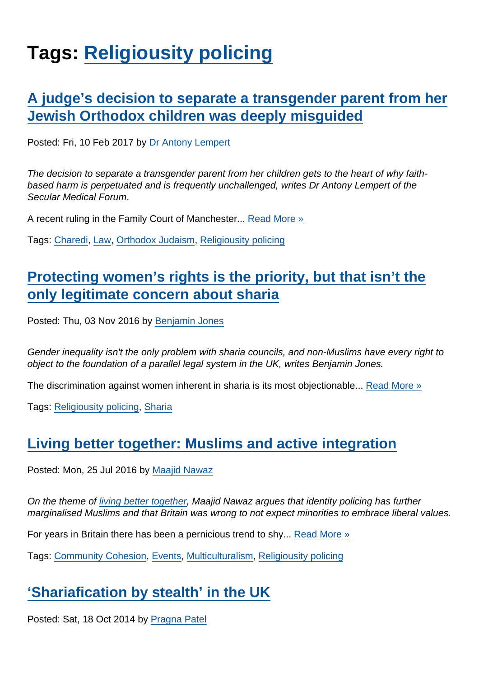# Tags: [Religiousity policing](https://www.secularism.org.uk/opinion/tags/Religiousity+policing)

## [A judge's decision to separate a transgender parent from her](https://www.secularism.org.uk/opinion/2017/02/a-judges-decision-to-separate-a-transgender-parent-from-her-jewish-orthodox-children-was-deeply-misguided) [Jewish Orthodox children was deeply misguided](https://www.secularism.org.uk/opinion/2017/02/a-judges-decision-to-separate-a-transgender-parent-from-her-jewish-orthodox-children-was-deeply-misguided)

Posted: Fri, 10 Feb 2017 by [Dr Antony Lempert](https://www.secularism.org.uk/opinion/authors/860)

The decision to separate a transgender parent from her children gets to the heart of why faithbased harm is perpetuated and is frequently unchallenged, writes Dr Antony Lempert of the Secular Medical Forum.

A recent ruling in the Family Court of Manchester... [Read More »](https://www.secularism.org.uk/opinion/2017/02/a-judges-decision-to-separate-a-transgender-parent-from-her-jewish-orthodox-children-was-deeply-misguided)

Tags: [Charedi](https://www.secularism.org.uk/opinion/tags/Charedi), [Law](https://www.secularism.org.uk/opinion/tags/Law), [Orthodox Judaism](https://www.secularism.org.uk/opinion/tags/Orthodox+Judaism), [Religiousity policing](https://www.secularism.org.uk/opinion/tags/Religiousity+policing)

## [Protecting women's rights is the priority, but that isn't the](https://www.secularism.org.uk/opinion/2016/11/protecting-womens-rights-is-the-priority-but-that-isnt-the-only-legitimate-concern-about-sharia) [only legitimate concern about sharia](https://www.secularism.org.uk/opinion/2016/11/protecting-womens-rights-is-the-priority-but-that-isnt-the-only-legitimate-concern-about-sharia)

Posted: Thu, 03 Nov 2016 by [Benjamin Jones](https://www.secularism.org.uk/opinion/authors/851)

Gender inequality isn't the only problem with sharia councils, and non-Muslims have every right to object to the foundation of a parallel legal system in the UK, writes Benjamin Jones.

The discrimination against women inherent in sharia is its most objectionable... [Read More »](https://www.secularism.org.uk/opinion/2016/11/protecting-womens-rights-is-the-priority-but-that-isnt-the-only-legitimate-concern-about-sharia)

Tags: [Religiousity policing,](https://www.secularism.org.uk/opinion/tags/Religiousity+policing) [Sharia](https://www.secularism.org.uk/opinion/tags/Sharia)

### [Living better together: Muslims and active integration](https://www.secularism.org.uk/opinion/2016/07/looking-outward-muslims-and-active-integration)

Posted: Mon, 25 Jul 2016 by [Maajid Nawaz](https://www.secularism.org.uk/opinion/authors/862)

On the theme of [living better together](https://www.secularism.org.uk/secularism2016.html), Maajid Nawaz argues that identity policing has further marginalised Muslims and that Britain was wrong to not expect minorities to embrace liberal values.

For years in Britain there has been a pernicious trend to shy... [Read More »](https://www.secularism.org.uk/opinion/2016/07/looking-outward-muslims-and-active-integration)

Tags: [Community Cohesion](https://www.secularism.org.uk/opinion/tags/Community+Cohesion), [Events](https://www.secularism.org.uk/opinion/tags/Events), [Multiculturalism,](https://www.secularism.org.uk/opinion/tags/Multiculturalism) [Religiousity policing](https://www.secularism.org.uk/opinion/tags/Religiousity+policing)

# ['Shariafication by stealth' in the UK](https://www.secularism.org.uk/opinion/2014/10/shariafication-by-stealth-in-the-uk)

Posted: Sat, 18 Oct 2014 by [Pragna Patel](https://www.secularism.org.uk/opinion/authors/949)